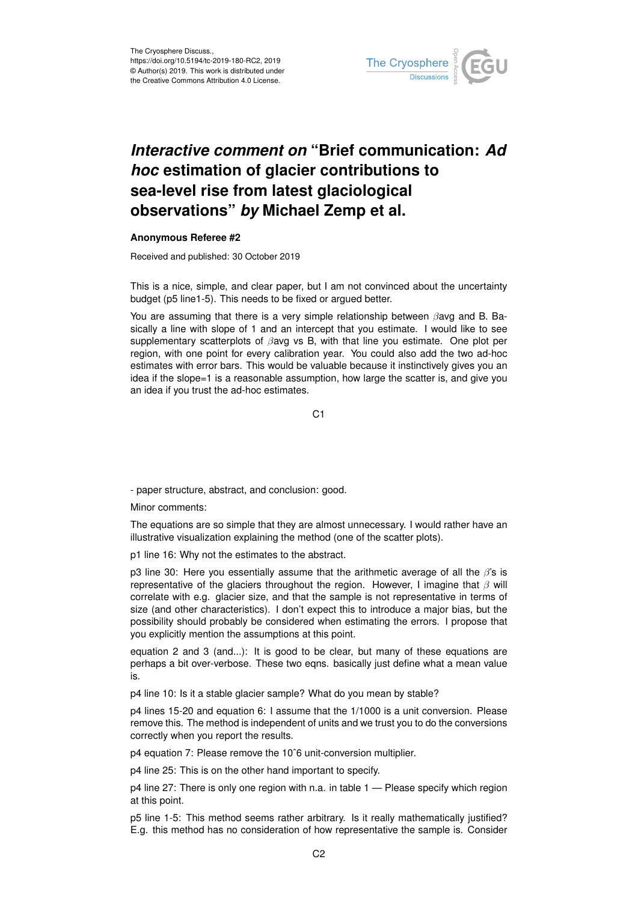

## *Interactive comment on* **"Brief communication:** *Ad hoc* **estimation of glacier contributions to sea-level rise from latest glaciological observations"** *by* **Michael Zemp et al.**

## **Anonymous Referee #2**

Received and published: 30 October 2019

This is a nice, simple, and clear paper, but I am not convinced about the uncertainty budget (p5 line1-5). This needs to be fixed or argued better.

You are assuming that there is a very simple relationship between  $\beta$ avg and B. Basically a line with slope of 1 and an intercept that you estimate. I would like to see supplementary scatterplots of  $\beta$ avg vs B, with that line you estimate. One plot per region, with one point for every calibration year. You could also add the two ad-hoc estimates with error bars. This would be valuable because it instinctively gives you an idea if the slope=1 is a reasonable assumption, how large the scatter is, and give you an idea if you trust the ad-hoc estimates.

C<sub>1</sub>

- paper structure, abstract, and conclusion: good.

Minor comments:

The equations are so simple that they are almost unnecessary. I would rather have an illustrative visualization explaining the method (one of the scatter plots).

p1 line 16: Why not the estimates to the abstract.

p3 line 30: Here you essentially assume that the arithmetic average of all the  $\beta$ 's is representative of the glaciers throughout the region. However, I imagine that  $\beta$  will correlate with e.g. glacier size, and that the sample is not representative in terms of size (and other characteristics). I don't expect this to introduce a major bias, but the possibility should probably be considered when estimating the errors. I propose that you explicitly mention the assumptions at this point.

equation 2 and 3 (and...): It is good to be clear, but many of these equations are perhaps a bit over-verbose. These two eqns. basically just define what a mean value is.

p4 line 10: Is it a stable glacier sample? What do you mean by stable?

p4 lines 15-20 and equation 6: I assume that the 1/1000 is a unit conversion. Please remove this. The method is independent of units and we trust you to do the conversions correctly when you report the results.

p4 equation 7: Please remove the 10ˆ6 unit-conversion multiplier.

p4 line 25: This is on the other hand important to specify.

p4 line 27: There is only one region with n.a. in table 1 — Please specify which region at this point.

p5 line 1-5: This method seems rather arbitrary. Is it really mathematically justified? E.g. this method has no consideration of how representative the sample is. Consider